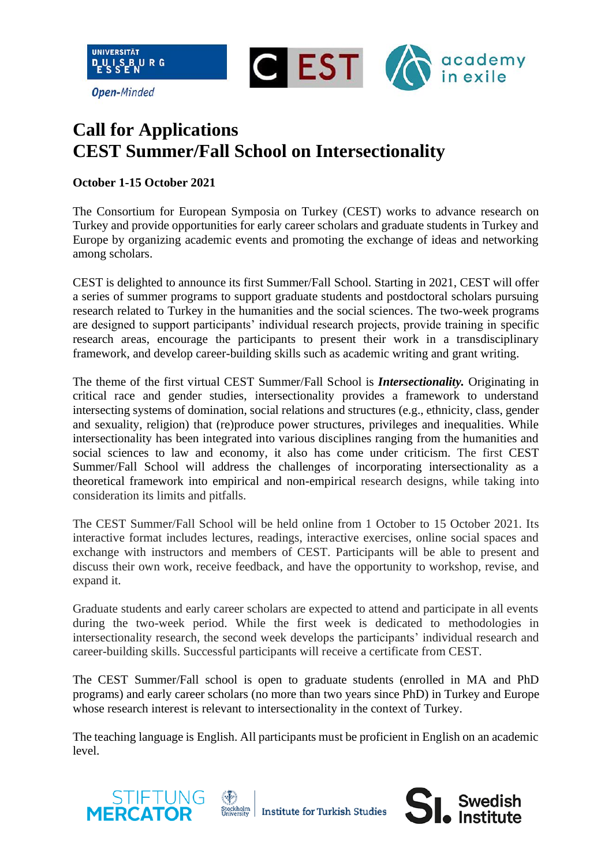

## **Call for Applications CEST Summer/Fall School on Intersectionality**

## **October 1-15 October 2021**

The Consortium for European Symposia on Turkey (CEST) works to advance research on Turkey and provide opportunities for early career scholars and graduate students in Turkey and Europe by organizing academic events and promoting the exchange of ideas and networking among scholars.

CEST is delighted to announce its first Summer/Fall School. Starting in 2021, CEST will offer a series of summer programs to support graduate students and postdoctoral scholars pursuing research related to Turkey in the humanities and the social sciences. The two-week programs are designed to support participants' individual research projects, provide training in specific research areas, encourage the participants to present their work in a transdisciplinary framework, and develop career-building skills such as academic writing and grant writing.

The theme of the first virtual CEST Summer/Fall School is *Intersectionality.* Originating in critical race and gender studies, intersectionality provides a framework to understand intersecting systems of domination, social relations and structures (e.g., ethnicity, class, gender and sexuality, religion) that (re)produce power structures, privileges and inequalities. While intersectionality has been integrated into various disciplines ranging from the humanities and social sciences to law and economy, it also has come under criticism. The first CEST Summer/Fall School will address the challenges of incorporating intersectionality as a theoretical framework into empirical and non-empirical research designs, while taking into consideration its limits and pitfalls.

The CEST Summer/Fall School will be held online from 1 October to 15 October 2021. Its interactive format includes lectures, readings, interactive exercises, online social spaces and exchange with instructors and members of CEST. Participants will be able to present and discuss their own work, receive feedback, and have the opportunity to workshop, revise, and expand it.

Graduate students and early career scholars are expected to attend and participate in all events during the two-week period. While the first week is dedicated to methodologies in intersectionality research, the second week develops the participants' individual research and career-building skills. Successful participants will receive a certificate from CEST.

The CEST Summer/Fall school is open to graduate students (enrolled in MA and PhD programs) and early career scholars (no more than two years since PhD) in Turkey and Europe whose research interest is relevant to intersectionality in the context of Turkey.

The teaching language is English. All participants must be proficient in English on an academic level.

**Swedish**